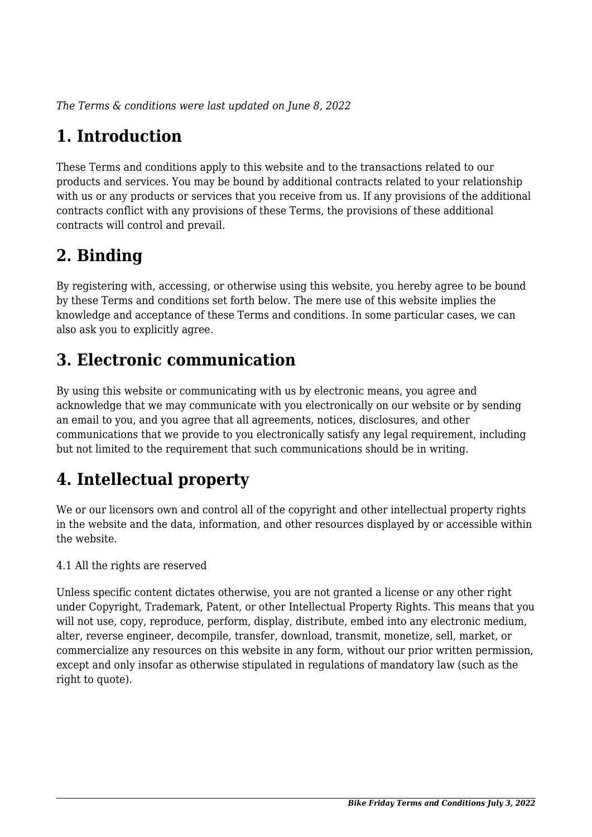*The Terms & conditions were last updated on June 8, 2022*

## **1. Introduction**

These Terms and conditions apply to this website and to the transactions related to our products and services. You may be bound by additional contracts related to your relationship with us or any products or services that you receive from us. If any provisions of the additional contracts conflict with any provisions of these Terms, the provisions of these additional contracts will control and prevail.

## **2. Binding**

By registering with, accessing, or otherwise using this website, you hereby agree to be bound by these Terms and conditions set forth below. The mere use of this website implies the knowledge and acceptance of these Terms and conditions. In some particular cases, we can also ask you to explicitly agree.

## **3. Electronic communication**

By using this website or communicating with us by electronic means, you agree and acknowledge that we may communicate with you electronically on our website or by sending an email to you, and you agree that all agreements, notices, disclosures, and other communications that we provide to you electronically satisfy any legal requirement, including but not limited to the requirement that such communications should be in writing.

# **4. Intellectual property**

We or our licensors own and control all of the copyright and other intellectual property rights in the website and the data, information, and other resources displayed by or accessible within the website.

4.1 All the rights are reserved

Unless specific content dictates otherwise, you are not granted a license or any other right under Copyright, Trademark, Patent, or other Intellectual Property Rights. This means that you will not use, copy, reproduce, perform, display, distribute, embed into any electronic medium, alter, reverse engineer, decompile, transfer, download, transmit, monetize, sell, market, or commercialize any resources on this website in any form, without our prior written permission, except and only insofar as otherwise stipulated in regulations of mandatory law (such as the right to quote).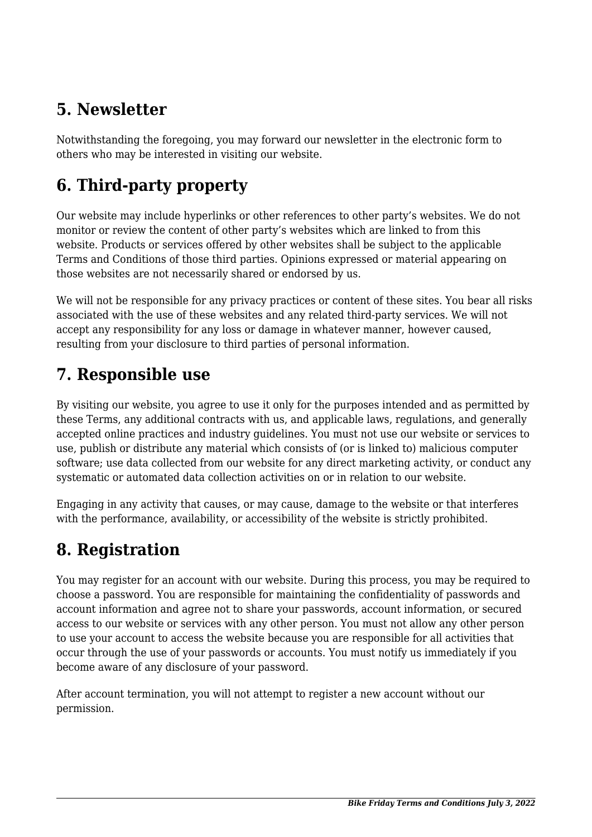## **5. Newsletter**

Notwithstanding the foregoing, you may forward our newsletter in the electronic form to others who may be interested in visiting our website.

# **6. Third-party property**

Our website may include hyperlinks or other references to other party's websites. We do not monitor or review the content of other party's websites which are linked to from this website. Products or services offered by other websites shall be subject to the applicable Terms and Conditions of those third parties. Opinions expressed or material appearing on those websites are not necessarily shared or endorsed by us.

We will not be responsible for any privacy practices or content of these sites. You bear all risks associated with the use of these websites and any related third-party services. We will not accept any responsibility for any loss or damage in whatever manner, however caused, resulting from your disclosure to third parties of personal information.

#### **7. Responsible use**

By visiting our website, you agree to use it only for the purposes intended and as permitted by these Terms, any additional contracts with us, and applicable laws, regulations, and generally accepted online practices and industry guidelines. You must not use our website or services to use, publish or distribute any material which consists of (or is linked to) malicious computer software; use data collected from our website for any direct marketing activity, or conduct any systematic or automated data collection activities on or in relation to our website.

Engaging in any activity that causes, or may cause, damage to the website or that interferes with the performance, availability, or accessibility of the website is strictly prohibited.

## **8. Registration**

You may register for an account with our website. During this process, you may be required to choose a password. You are responsible for maintaining the confidentiality of passwords and account information and agree not to share your passwords, account information, or secured access to our website or services with any other person. You must not allow any other person to use your account to access the website because you are responsible for all activities that occur through the use of your passwords or accounts. You must notify us immediately if you become aware of any disclosure of your password.

After account termination, you will not attempt to register a new account without our permission.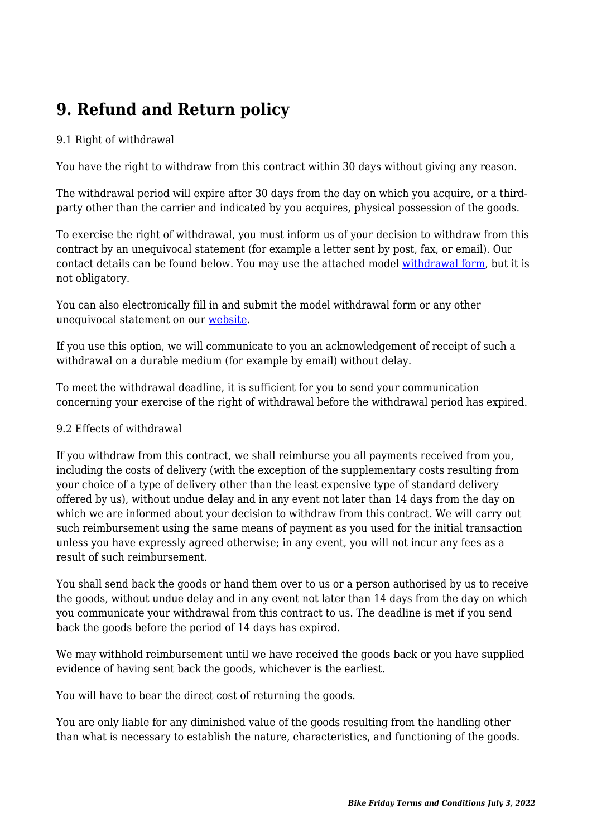## **9. Refund and Return policy**

#### 9.1 Right of withdrawal

You have the right to withdraw from this contract within 30 days without giving any reason.

The withdrawal period will expire after 30 days from the day on which you acquire, or a thirdparty other than the carrier and indicated by you acquires, physical possession of the goods.

To exercise the right of withdrawal, you must inform us of your decision to withdraw from this contract by an unequivocal statement (for example a letter sent by post, fax, or email). Our contact details can be found below. You may use the attached model [withdrawal form](https://bikefriday.com/wp-content/uploads/complianz/withdrawal-forms/withdrawal-form-en.pdf), but it is not obligatory.

You can also electronically fill in and submit the model withdrawal form or any other unequivocal statement on our [website](https://bikefriday.com/contact/).

If you use this option, we will communicate to you an acknowledgement of receipt of such a withdrawal on a durable medium (for example by email) without delay.

To meet the withdrawal deadline, it is sufficient for you to send your communication concerning your exercise of the right of withdrawal before the withdrawal period has expired.

#### 9.2 Effects of withdrawal

If you withdraw from this contract, we shall reimburse you all payments received from you, including the costs of delivery (with the exception of the supplementary costs resulting from your choice of a type of delivery other than the least expensive type of standard delivery offered by us), without undue delay and in any event not later than 14 days from the day on which we are informed about your decision to withdraw from this contract. We will carry out such reimbursement using the same means of payment as you used for the initial transaction unless you have expressly agreed otherwise; in any event, you will not incur any fees as a result of such reimbursement.

You shall send back the goods or hand them over to us or a person authorised by us to receive the goods, without undue delay and in any event not later than 14 days from the day on which you communicate your withdrawal from this contract to us. The deadline is met if you send back the goods before the period of 14 days has expired.

We may withhold reimbursement until we have received the goods back or you have supplied evidence of having sent back the goods, whichever is the earliest.

You will have to bear the direct cost of returning the goods.

You are only liable for any diminished value of the goods resulting from the handling other than what is necessary to establish the nature, characteristics, and functioning of the goods.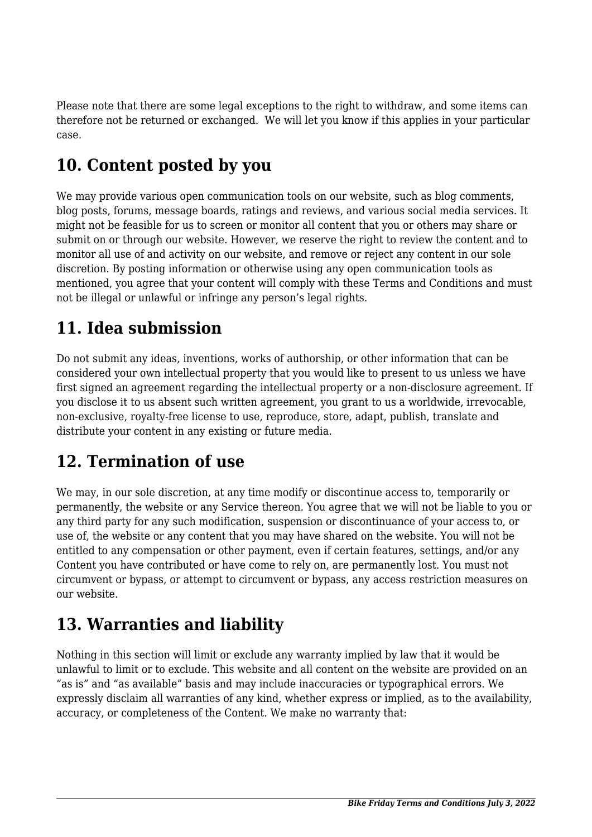Please note that there are some legal exceptions to the right to withdraw, and some items can therefore not be returned or exchanged. We will let you know if this applies in your particular case.

## **10. Content posted by you**

We may provide various open communication tools on our website, such as blog comments, blog posts, forums, message boards, ratings and reviews, and various social media services. It might not be feasible for us to screen or monitor all content that you or others may share or submit on or through our website. However, we reserve the right to review the content and to monitor all use of and activity on our website, and remove or reject any content in our sole discretion. By posting information or otherwise using any open communication tools as mentioned, you agree that your content will comply with these Terms and Conditions and must not be illegal or unlawful or infringe any person's legal rights.

# **11. Idea submission**

Do not submit any ideas, inventions, works of authorship, or other information that can be considered your own intellectual property that you would like to present to us unless we have first signed an agreement regarding the intellectual property or a non-disclosure agreement. If you disclose it to us absent such written agreement, you grant to us a worldwide, irrevocable, non-exclusive, royalty-free license to use, reproduce, store, adapt, publish, translate and distribute your content in any existing or future media.

#### **12. Termination of use**

We may, in our sole discretion, at any time modify or discontinue access to, temporarily or permanently, the website or any Service thereon. You agree that we will not be liable to you or any third party for any such modification, suspension or discontinuance of your access to, or use of, the website or any content that you may have shared on the website. You will not be entitled to any compensation or other payment, even if certain features, settings, and/or any Content you have contributed or have come to rely on, are permanently lost. You must not circumvent or bypass, or attempt to circumvent or bypass, any access restriction measures on our website.

## **13. Warranties and liability**

Nothing in this section will limit or exclude any warranty implied by law that it would be unlawful to limit or to exclude. This website and all content on the website are provided on an "as is" and "as available" basis and may include inaccuracies or typographical errors. We expressly disclaim all warranties of any kind, whether express or implied, as to the availability, accuracy, or completeness of the Content. We make no warranty that: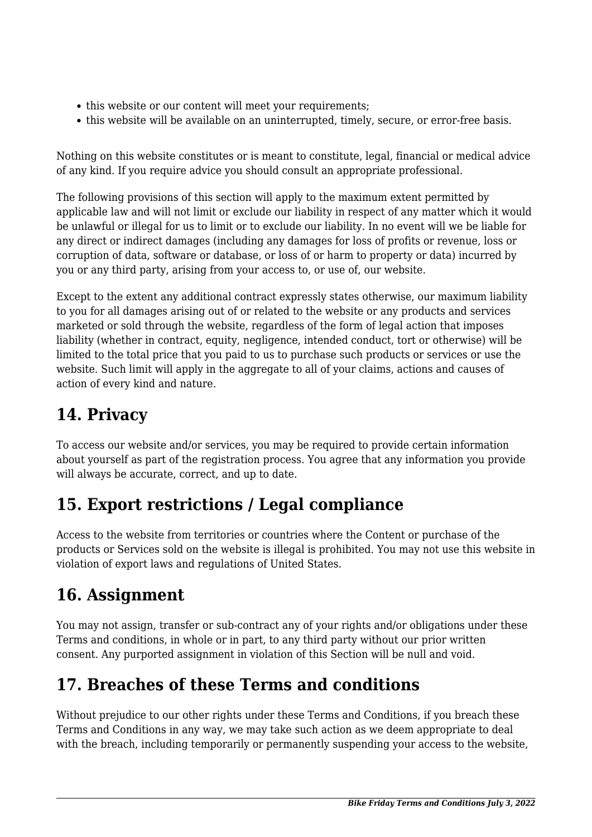- this website or our content will meet your requirements;
- this website will be available on an uninterrupted, timely, secure, or error-free basis.

Nothing on this website constitutes or is meant to constitute, legal, financial or medical advice of any kind. If you require advice you should consult an appropriate professional.

The following provisions of this section will apply to the maximum extent permitted by applicable law and will not limit or exclude our liability in respect of any matter which it would be unlawful or illegal for us to limit or to exclude our liability. In no event will we be liable for any direct or indirect damages (including any damages for loss of profits or revenue, loss or corruption of data, software or database, or loss of or harm to property or data) incurred by you or any third party, arising from your access to, or use of, our website.

Except to the extent any additional contract expressly states otherwise, our maximum liability to you for all damages arising out of or related to the website or any products and services marketed or sold through the website, regardless of the form of legal action that imposes liability (whether in contract, equity, negligence, intended conduct, tort or otherwise) will be limited to the total price that you paid to us to purchase such products or services or use the website. Such limit will apply in the aggregate to all of your claims, actions and causes of action of every kind and nature.

# **14. Privacy**

To access our website and/or services, you may be required to provide certain information about yourself as part of the registration process. You agree that any information you provide will always be accurate, correct, and up to date.

## **15. Export restrictions / Legal compliance**

Access to the website from territories or countries where the Content or purchase of the products or Services sold on the website is illegal is prohibited. You may not use this website in violation of export laws and regulations of United States.

#### **16. Assignment**

You may not assign, transfer or sub-contract any of your rights and/or obligations under these Terms and conditions, in whole or in part, to any third party without our prior written consent. Any purported assignment in violation of this Section will be null and void.

## **17. Breaches of these Terms and conditions**

Without prejudice to our other rights under these Terms and Conditions, if you breach these Terms and Conditions in any way, we may take such action as we deem appropriate to deal with the breach, including temporarily or permanently suspending your access to the website,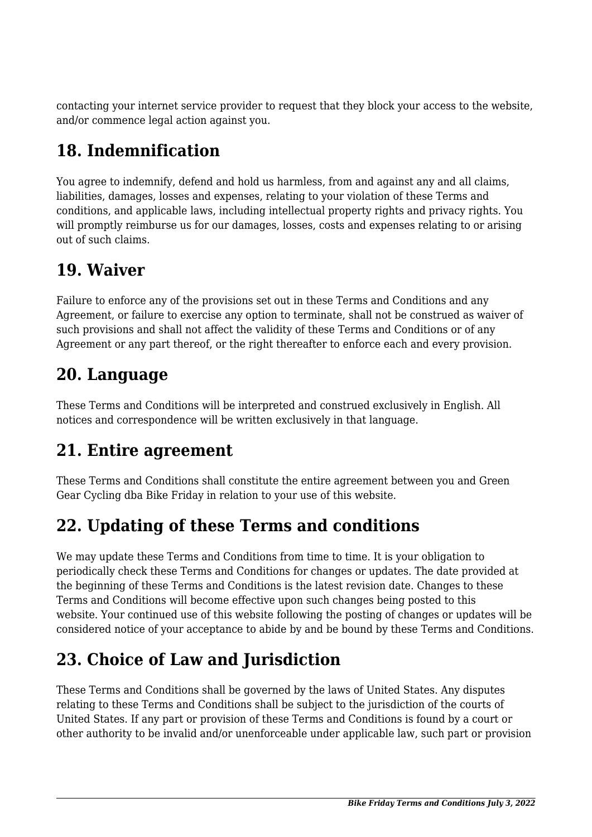contacting your internet service provider to request that they block your access to the website, and/or commence legal action against you.

# **18. Indemnification**

You agree to indemnify, defend and hold us harmless, from and against any and all claims, liabilities, damages, losses and expenses, relating to your violation of these Terms and conditions, and applicable laws, including intellectual property rights and privacy rights. You will promptly reimburse us for our damages, losses, costs and expenses relating to or arising out of such claims.

#### **19. Waiver**

Failure to enforce any of the provisions set out in these Terms and Conditions and any Agreement, or failure to exercise any option to terminate, shall not be construed as waiver of such provisions and shall not affect the validity of these Terms and Conditions or of any Agreement or any part thereof, or the right thereafter to enforce each and every provision.

#### **20. Language**

These Terms and Conditions will be interpreted and construed exclusively in English. All notices and correspondence will be written exclusively in that language.

# **21. Entire agreement**

These Terms and Conditions shall constitute the entire agreement between you and Green Gear Cycling dba Bike Friday in relation to your use of this website.

## **22. Updating of these Terms and conditions**

We may update these Terms and Conditions from time to time. It is your obligation to periodically check these Terms and Conditions for changes or updates. The date provided at the beginning of these Terms and Conditions is the latest revision date. Changes to these Terms and Conditions will become effective upon such changes being posted to this website. Your continued use of this website following the posting of changes or updates will be considered notice of your acceptance to abide by and be bound by these Terms and Conditions.

# **23. Choice of Law and Jurisdiction**

These Terms and Conditions shall be governed by the laws of United States. Any disputes relating to these Terms and Conditions shall be subject to the jurisdiction of the courts of United States. If any part or provision of these Terms and Conditions is found by a court or other authority to be invalid and/or unenforceable under applicable law, such part or provision